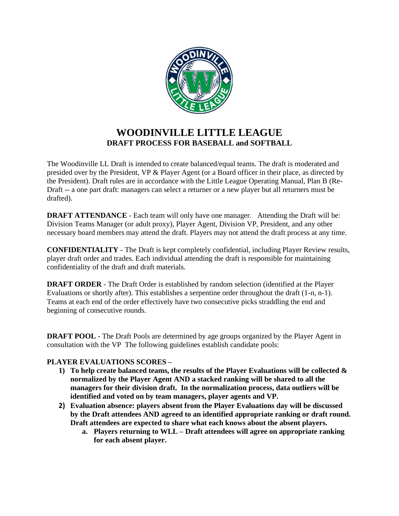

# **WOODINVILLE LITTLE LEAGUE DRAFT PROCESS FOR BASEBALL and SOFTBALL**

The Woodinville LL Draft is intended to create balanced/equal teams. The draft is moderated and presided over by the President, VP & Player Agent (or a Board officer in their place, as directed by the President). Draft rules are in accordance with the Little League Operating Manual, Plan B (Re-Draft -- a one part draft: managers can select a returner or a new player but all returners must be drafted).

**DRAFT ATTENDANCE** - Each team will only have one manager. Attending the Draft will be: Division Teams Manager (or adult proxy), Player Agent, Division VP, President, and any other necessary board members may attend the draft. Players may not attend the draft process at any time.

**CONFIDENTIALITY** - The Draft is kept completely confidential, including Player Review results, player draft order and trades. Each individual attending the draft is responsible for maintaining confidentiality of the draft and draft materials.

**DRAFT ORDER** - The Draft Order is established by random selection (identified at the Player Evaluations or shortly after). This establishes a serpentine order throughout the draft (1-n, n-1). Teams at each end of the order effectively have two consecutive picks straddling the end and beginning of consecutive rounds.

**DRAFT POOL** - The Draft Pools are determined by age groups organized by the Player Agent in consultation with the VP The following guidelines establish candidate pools:

### **PLAYER EVALUATIONS SCORES –**

- **1) To help create balanced teams, the results of the Player Evaluations will be collected & normalized by the Player Agent AND a stacked ranking will be shared to all the managers for their division draft. In the normalization process, data outliers will be identified and voted on by team managers, player agents and VP.**
- **2) Evaluation absence: players absent from the Player Evaluations day will be discussed by the Draft attendees AND agreed to an identified appropriate ranking or draft round. Draft attendees are expected to share what each knows about the absent players.**
	- **a. Players returning to WLL – Draft attendees will agree on appropriate ranking for each absent player.**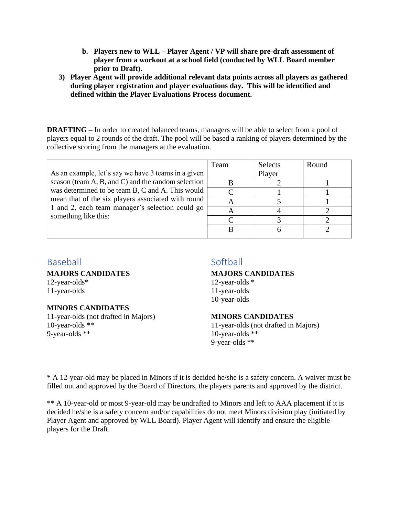- **b. Players new to WLL – Player Agent / VP will share pre-draft assessment of player from a workout at a school field (conducted by WLL Board member prior to Draft).**
- **3) Player Agent will provide additional relevant data points across all players as gathered during player registration and player evaluations day. This will be identified and defined within the Player Evaluations Process document.**

**DRAFTING** – In order to created balanced teams, managers will be able to select from a pool of players equal to 2 rounds of the draft. The pool will be based a ranking of players determined by the collective scoring from the managers at the evaluation.

|                                                                                                                                                                                   | Team | <b>Selects</b> | Round |
|-----------------------------------------------------------------------------------------------------------------------------------------------------------------------------------|------|----------------|-------|
| As an example, let's say we have 3 teams in a given                                                                                                                               |      | Player         |       |
| season (team A, B, and C) and the random selection                                                                                                                                |      |                |       |
| was determined to be team B, C and A. This would<br>mean that of the six players associated with round<br>1 and 2, each team manager's selection could go<br>something like this: |      |                |       |
|                                                                                                                                                                                   |      |                |       |
|                                                                                                                                                                                   |      |                |       |
|                                                                                                                                                                                   |      |                |       |
|                                                                                                                                                                                   |      |                |       |
|                                                                                                                                                                                   |      |                |       |

# Baseball

**MAJORS CANDIDATES** 

12-year-olds\* 11-year-olds

### **MINORS CANDIDATES**

11-year-olds (not drafted in Majors) 10-year-olds \*\* 9-year-olds \*\*

## **Softball**

### **MAJORS CANDIDATES**

12-year-olds \* 11-year-olds 10-year-olds

#### **MINORS CANDIDATES**

11-year-olds (not drafted in Majors) 10-year-olds \*\* 9-year-olds \*\*

\* A 12-year-old may be placed in Minors if it is decided he/she is a safety concern. A waiver must be filled out and approved by the Board of Directors, the players parents and approved by the district.

\*\* A 10-year-old or most 9-year-old may be undrafted to Minors and left to AAA placement if it is decided he/she is a safety concern and/or capabilities do not meet Minors division play (initiated by Player Agent and approved by WLL Board). Player Agent will identify and ensure the eligible players for the Draft.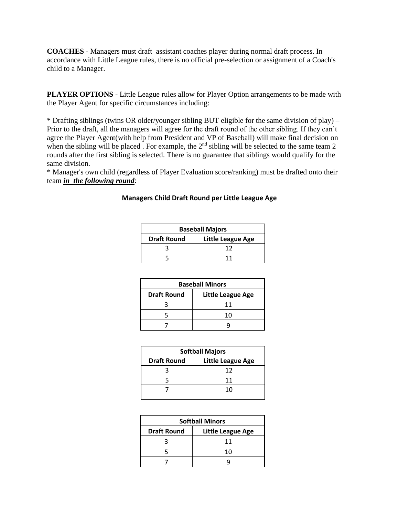**COACHES** - Managers must draft assistant coaches player during normal draft process. In accordance with Little League rules, there is no official pre-selection or assignment of a Coach's child to a Manager.

**PLAYER OPTIONS** - Little League rules allow for Player Option arrangements to be made with the Player Agent for specific circumstances including:

\* Drafting siblings (twins OR older/younger sibling BUT eligible for the same division of play) – Prior to the draft, all the managers will agree for the draft round of the other sibling. If they can't agree the Player Agent(with help from President and VP of Baseball) will make final decision on when the sibling will be placed. For example, the 2<sup>nd</sup> sibling will be selected to the same team 2 rounds after the first sibling is selected. There is no guarantee that siblings would qualify for the same division.

\* Manager's own child (regardless of Player Evaluation score/ranking) must be drafted onto their team *in the following round*:

| <b>Baseball Majors</b> |                   |  |
|------------------------|-------------------|--|
| <b>Draft Round</b>     | Little League Age |  |
|                        | 17                |  |
|                        | 11                |  |

| <b>Draft Round</b> | Little League Age |
|--------------------|-------------------|
|                    |                   |
|                    |                   |

**Managers Child Draft Round per Little League Age**

| <b>Baseball Minors</b> |                   |  |
|------------------------|-------------------|--|
| <b>Draft Round</b>     | Little League Age |  |
|                        | 11                |  |
|                        | 10                |  |
|                        |                   |  |

| <b>Softball Majors</b> |                   |  |
|------------------------|-------------------|--|
| <b>Draft Round</b>     | Little League Age |  |
|                        | 12                |  |
|                        | 11                |  |
|                        | 10                |  |
|                        |                   |  |

| <b>Softball Minors</b> |                   |  |
|------------------------|-------------------|--|
| <b>Draft Round</b>     | Little League Age |  |
|                        | 11                |  |
|                        | 10                |  |
|                        |                   |  |